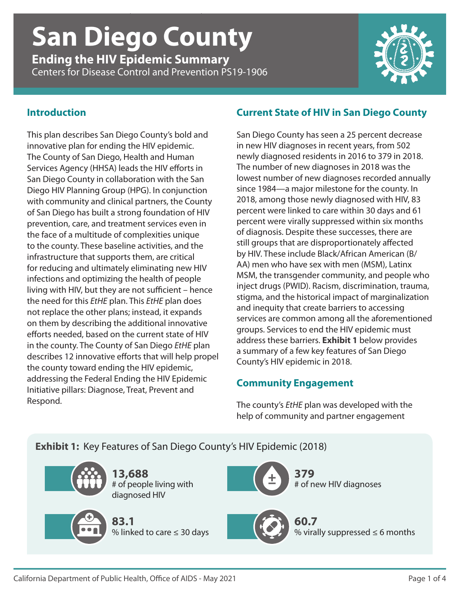# *Ending the HIV Epidemic Summary* | **San Diego County** | CDC PS19-1906 **San Diego County**

**Ending the HIV Epidemic Summary** Centers for Disease Control and Prevention PS19-1906



### **Introduction**

This plan describes San Diego County's bold and innovative plan for ending the HIV epidemic. The County of San Diego, Health and Human Services Agency (HHSA) leads the HIV efforts in San Diego County in collaboration with the San Diego HIV Planning Group (HPG). In conjunction with community and clinical partners, the County of San Diego has built a strong foundation of HIV prevention, care, and treatment services even in the face of a multitude of complexities unique to the county. These baseline activities, and the infrastructure that supports them, are critical for reducing and ultimately eliminating new HIV infections and optimizing the health of people living with HIV, but they are not sufficient – hence the need for this *EtHE* plan. This *EtHE* plan does not replace the other plans; instead, it expands on them by describing the additional innovative efforts needed, based on the current state of HIV in the county. The County of San Diego *EtHE* plan describes 12 innovative efforts that will help propel the county toward ending the HIV epidemic, addressing the Federal Ending the HIV Epidemic Initiative pillars: Diagnose, Treat, Prevent and Respond.

### **Current State of HIV in San Diego County**

San Diego County has seen a 25 percent decrease in new HIV diagnoses in recent years, from 502 newly diagnosed residents in 2016 to 379 in 2018. The number of new diagnoses in 2018 was the lowest number of new diagnoses recorded annually since 1984—a major milestone for the county. In 2018, among those newly diagnosed with HIV, 83 percent were linked to care within 30 days and 61 percent were virally suppressed within six months of diagnosis. Despite these successes, there are still groups that are disproportionately affected by HIV. These include Black/African American (B/ AA) men who have sex with men (MSM), Latinx MSM, the transgender community, and people who inject drugs (PWID). Racism, discrimination, trauma, stigma, and the historical impact of marginalization and inequity that create barriers to accessing services are common among all the aforementioned groups. Services to end the HIV epidemic must address these barriers. **Exhibit 1** below provides a summary of a few key features of San Diego County's HIV epidemic in 2018.

### **Community Engagement**

The county's *EtHE* plan was developed with the help of community and partner engagement

**Exhibit 1:** Key Features of San Diego County's HIV Epidemic (2018)

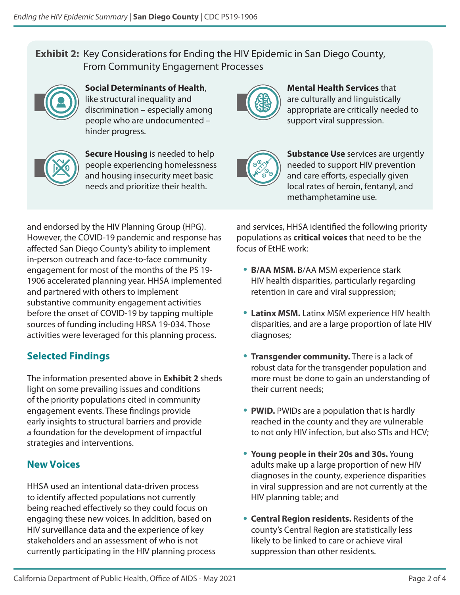### **Exhibit 2:** Key Considerations for Ending the HIV Epidemic in San Diego County, From Community Engagement Processes



**Social Determinants of Health**, like structural inequality and discrimination – especially among people who are undocumented – hinder progress.



**Secure Housing** is needed to help people experiencing homelessness and housing insecurity meet basic needs and prioritize their health.



**Mental Health Services** that are culturally and linguistically appropriate are critically needed to support viral suppression.



**Substance Use** services are urgently needed to support HIV prevention and care efforts, especially given local rates of heroin, fentanyl, and methamphetamine use.

and endorsed by the HIV Planning Group (HPG). However, the COVID-19 pandemic and response has affected San Diego County's ability to implement in-person outreach and face-to-face community engagement for most of the months of the PS 19- 1906 accelerated planning year. HHSA implemented and partnered with others to implement substantive community engagement activities before the onset of COVID-19 by tapping multiple sources of funding including HRSA 19-034. Those activities were leveraged for this planning process.

## **Selected Findings**

The information presented above in **Exhibit 2** sheds light on some prevailing issues and conditions of the priority populations cited in community engagement events. These findings provide early insights to structural barriers and provide a foundation for the development of impactful strategies and interventions.

### **New Voices**

HHSA used an intentional data-driven process to identify affected populations not currently being reached effectively so they could focus on engaging these new voices. In addition, based on HIV surveillance data and the experience of key stakeholders and an assessment of who is not currently participating in the HIV planning process and services, HHSA identified the following priority populations as **critical voices** that need to be the focus of EtHE work:

- **B/AA MSM.** B/AA MSM experience stark HIV health disparities, particularly regarding retention in care and viral suppression;
- **Latinx MSM.** Latinx MSM experience HIV health disparities, and are a large proportion of late HIV diagnoses;
- **Transgender community.** There is a lack of robust data for the transgender population and more must be done to gain an understanding of their current needs;
- **PWID.** PWIDs are a population that is hardly reached in the county and they are vulnerable to not only HIV infection, but also STIs and HCV;
- **Young people in their 20s and 30s.** Young adults make up a large proportion of new HIV diagnoses in the county, experience disparities in viral suppression and are not currently at the HIV planning table; and
- **Central Region residents.** Residents of the county's Central Region are statistically less likely to be linked to care or achieve viral suppression than other residents.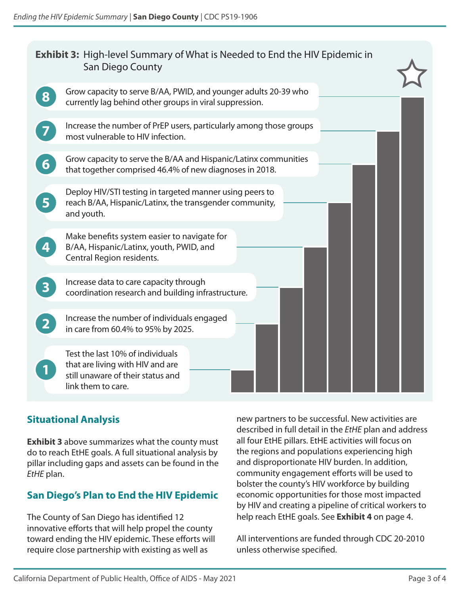| <b>Exhibit 3:</b> High-level Summary of What is Needed to End the HIV Epidemic in<br>San Diego County |                                                                                                                                   |  |  |  |  |  |
|-------------------------------------------------------------------------------------------------------|-----------------------------------------------------------------------------------------------------------------------------------|--|--|--|--|--|
|                                                                                                       | Grow capacity to serve B/AA, PWID, and younger adults 20-39 who<br>currently lag behind other groups in viral suppression.        |  |  |  |  |  |
|                                                                                                       | Increase the number of PrEP users, particularly among those groups<br>most vulnerable to HIV infection.                           |  |  |  |  |  |
|                                                                                                       | Grow capacity to serve the B/AA and Hispanic/Latinx communities<br>that together comprised 46.4% of new diagnoses in 2018.        |  |  |  |  |  |
| $\overline{\mathbf{5}}$                                                                               | Deploy HIV/STI testing in targeted manner using peers to<br>reach B/AA, Hispanic/Latinx, the transgender community,<br>and youth. |  |  |  |  |  |
|                                                                                                       | Make benefits system easier to navigate for<br>B/AA, Hispanic/Latinx, youth, PWID, and<br>Central Region residents.               |  |  |  |  |  |
|                                                                                                       | Increase data to care capacity through<br>coordination research and building infrastructure.                                      |  |  |  |  |  |
|                                                                                                       | Increase the number of individuals engaged<br>in care from 60.4% to 95% by 2025.                                                  |  |  |  |  |  |
|                                                                                                       | Test the last 10% of individuals<br>that are living with HIV and are<br>still unaware of their status and<br>link them to care.   |  |  |  |  |  |

#### **Situational Analysis**

**Exhibit 3** above summarizes what the county must do to reach EtHE goals. A full situational analysis by pillar including gaps and assets can be found in the *EtHE* plan.

### **San Diego's Plan to End the HIV Epidemic**

The County of San Diego has identified 12 innovative efforts that will help propel the county toward ending the HIV epidemic. These efforts will require close partnership with existing as well as

new partners to be successful. New activities are described in full detail in the *EtHE* plan and address all four EtHE pillars. EtHE activities will focus on the regions and populations experiencing high and disproportionate HIV burden. In addition, community engagement efforts will be used to bolster the county's HIV workforce by building economic opportunities for those most impacted by HIV and creating a pipeline of critical workers to help reach EtHE goals. See **Exhibit 4** on page 4.

All interventions are funded through CDC 20-2010 unless otherwise specified.